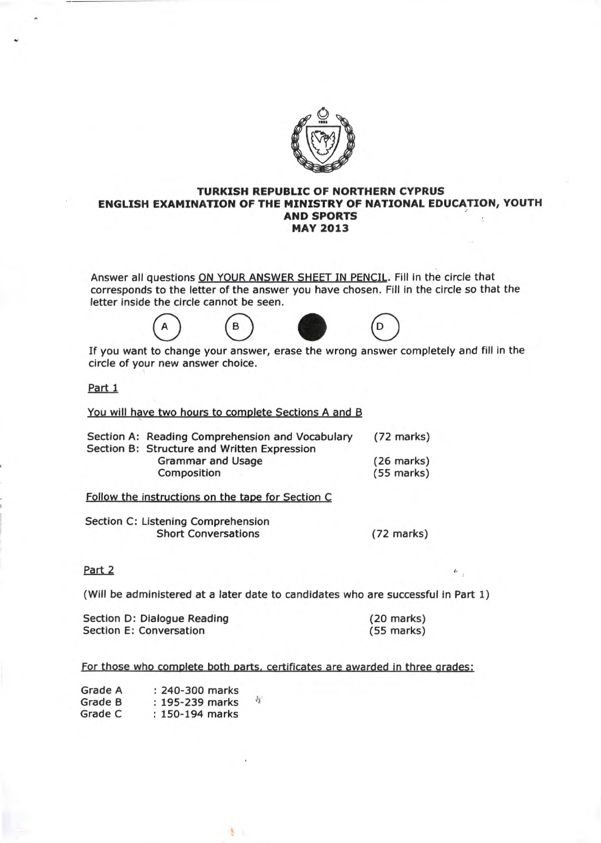

# **TURKISH REPUBLIC OF NORTHERN CYPRUS ENGLISH EXAMINATION OF THE MINISTRY OF NAT**İ**ONAL EDUCAT**İ**ON, YOUTH AND SPORTS MAY 2013**  UBLIC OF NORTHERN CYPE<br>
E MINISTRY OF NATIONAL<br>
AND SPORTS<br>
MAY 2013<br>
WER SHEET IN PENCIL. Fill in there you have chosen. Fill in the n.

Answer all questions ON YOUR ANSWER SHEET IN PENCIL. Fill in the circle that corresponds to the letter of the answer you have chosen. Fili in the circie so that the letter inside the circle cannot be seen.



If you want to change your answer, erase the wrong answer compieteiy and fili in the circie of your new answer choice.

#### Part 1

You will have two hours to complete Sections A and B

|  | Section A: Reading Comprehension and Vocabulary | $(72 \text{ marks})$ |
|--|-------------------------------------------------|----------------------|
|  | Section B: Structure and Written Expression     |                      |
|  | <b>Grammar and Usage</b>                        | $(26 \text{ marks})$ |
|  | Composition                                     | $(55$ marks)         |

Follow the instructions on the tape for Section C

*(72* marks) Section C: Listening Comprehension Short Conversations

#### Part 2

(Wiil be administered at a later date to candidates who are successfui in Part 1)

Section D: Dialogue Reading (20 marks) Section E: Conversation (55 marks)

#### For those who complete both parts, certificates are awarded in three grades:

| Grade A | : 240-300 marks |    |
|---------|-----------------|----|
| Grade B | : 195-239 marks | νš |
| Grade C | : 150-194 marks |    |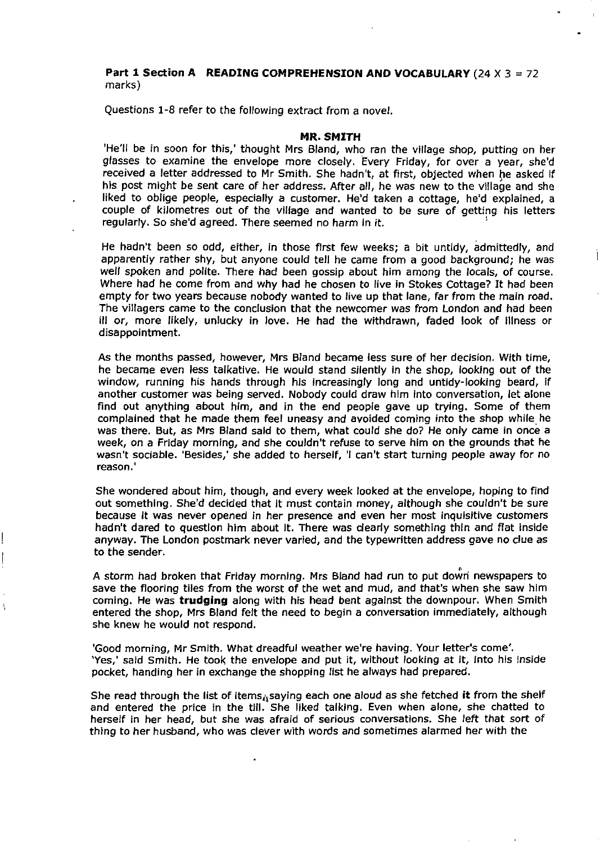#### **Part 1 Section A READING COMPREHENSION AND VOCABULARY (24 X 3 = 72)** marks)

Questions 1-8 refer to the foliowing extract from a novel.

#### **MR. SMITH**

'He'Il be in soon for this,' thought Mrs Bland, who ran the viilage shop, putting on her glasses to examine the envelope more closely. Every Friday, for over a year, she'd received a letter addressed to Mr Smith. She hadn't, at first, objected when he asked if his post might be sent care of her address. After ali, he was new to the vitlage and she liked to oblige people, especialiy a custorner. He'd taken a cottage, he'd explained, a coupie of kilometres out of the village and wanted ta be sure of getting his Ietters regulariy. So she'd agreed. There seemed no harm in it.

He hadn't been so odd, either, in those first few weeks; a bit untidy, admittedly, and apparently rather shy, but anyone could tell he came from a good background; he was welt spoken and polite. There had been gossip about him among the locais, of course. Where had he come from and why had he chosen to live in Stokes Cottage? It had been empty for two years because nobody wanted to live up that lane, far from the main road. The viilagers came to the conclusion that the newcomer was from London and had been ili or, more likely, uniucky in love. Hc had the withdrawn, faded look of lllness or disappointment.

As the months passed, however, Mrs Bland became less sure of her decision. With time, he became even less talkative. He would stand silently in the shop, looking out of the window, running his hands through his increasingly long and untidy-iooking beard, if another customer was being served. Nobody could draw him into conversation, let alone find out anything about him, and in the end people gave up trying. Some of them compialned that he made thern feel uneasy and avoided coming into the shop white be was there. But, as Mrs Bland said to them, what could she do? He only came in once a week, on a Friday morning, and she couldn't refuse to serve him on the grounds that he wasn't sociable. 'Besides,' she added to herself, 'I can't start turning people away for no reason.'

She wondered about him, though, and every week looked at the envelope, hoping to find out something. She'd decided that it must contain money, although she couldn't be sure because it was never opened in her presence and even her most lnquisitive customers hadn't dared to question him about it. There was clearly something thin and flat inside anyway. The London postrnark never varied, and the typewritten address gave no ciue as to the sender.

A storm had broken that Friday morning. Mrs Bland had run to put down newspapers to save the flooring tiles from the worst of the wet and mud, and that's when she saw him coming. He was trudging along with his head bent against the downpour. When Smith entered the shop, Mrs Bland felt the need to begin a conversation immediately, although she knew he wouid not respond.

Ĵ,

'Good morning, Mr Smith. What dreadfui weather we're having. Your Ietter's come'. 'Yes,' said Smith. He took the envelope and put it, without looking at it, Into his inside pocket, handing her in exchange the shopping list hc always had prepared.

She read through the list of items $_{\hbar}$ saying each one aloud as she fetched it from the shelf and entered the price in the tili. She iiked talking. Even when aione, she chatted to herself in her head, but she was afraid of serious conversations. She left that sort of thing to her husband, who was clever with words and sometimes alarmed her with the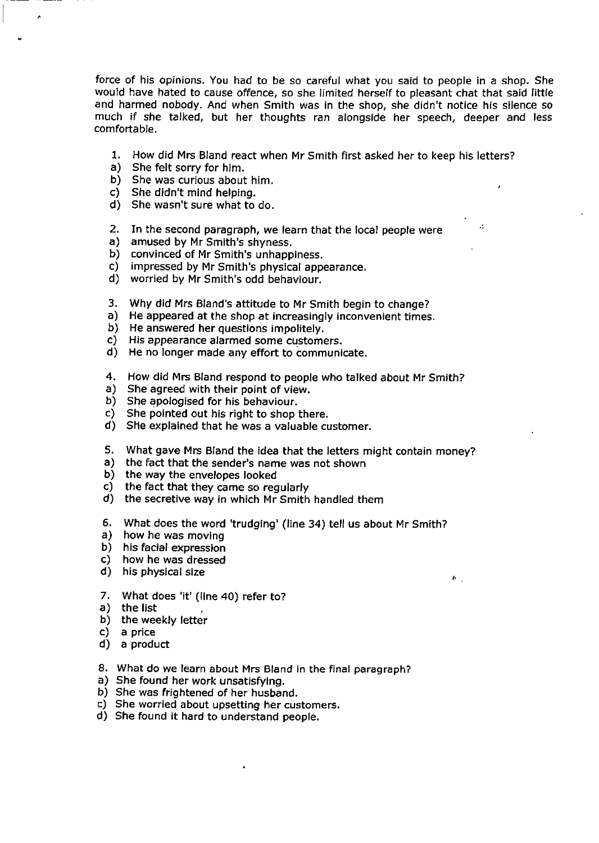force of his opinions. You had to be so careful what you said to people in a shop. She would have hated to cause offence, so she limited herself to pleasant chat that said little and harmed nobody. And when Smith was in the shop, she didn't notice his silence so much if she talked, but her thoughts ran alongside her speech, deeper and less comfortable.

 $\mathcal{A}$ 

 $\theta_{\rm{max}}$ 

- 1. How did Mis Bland react when Mr Smith first asked her ta keep his letters?
- a) She feit sorry for him.
- b) She was curious about him.
- c) She didn't mind helping.
- d) She wasn't sure what to do.
- 2. in the second paragraph, we learn that the local people were
- a) amused by Mr Smith's shyness.
- b) convinced of Mr Smith's unhappiness.
- c) impressed by Mr Smith's physical appearance
- d) warried by Mr Smith's odd behaviour.
- 3. Why did Mrs Bland's attitude to Mr Smith begin to change?
- a) He appeared at the shop at increasingly inconvenient times.
- b) He answered her questions impolitely.
- c) His appearance alarmed some customers.
- d) He no longer made any effort to communicate.
- 4. How did Mis Bland respond to people who talked about Mr Smith?
- a) She agreed with their point of view.
- b) She apologised for his behaviour.
- c) She pointed out his right to shop there.
- d) She explained that he was a valuable customer.
- 5. What gave Mis Bland the idea that the letters might contain money?
- a) the fact that the sender's name was not shown
- b) the way the envelopes looked
- c) the fact that they came so regularly
- d) the secretive way in which Mr Smith handled them

6. What does the word 'trudging' (Iine 34) tell us about Mr Smith?

- a) how he was moving
- b) his facial expression
- c) how he was dressed
- d) his physical size
- 7. What does 'it' (line 40) refer to?
- a) the list
- b) the weekly letter
- c) a price
- d) a product
- 8. What do we learn about Mrs Bland in the final paragraph?
- a) She found her work unsatisfylng.
- b) She was frightened of her husband.
- c) She worried about upsetting her customers.
- d) She found it hard to understand people.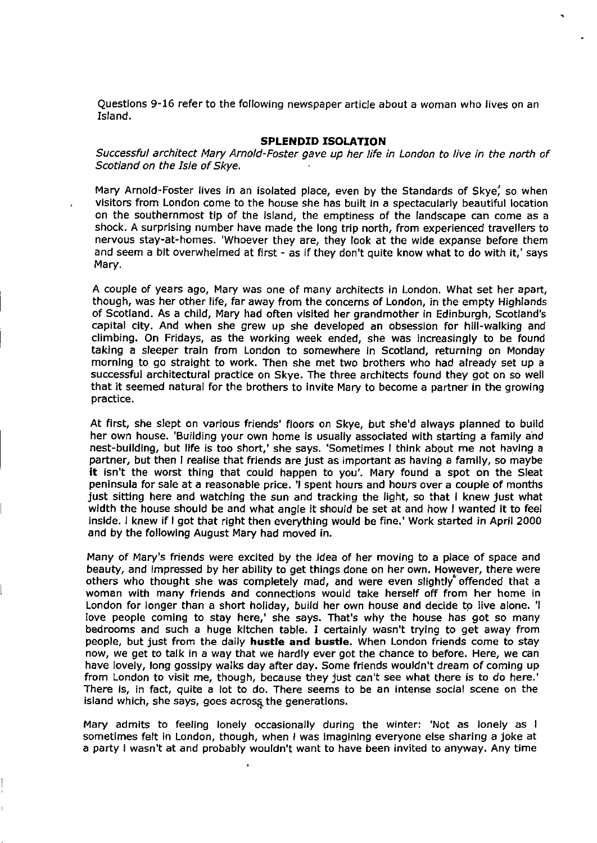Questions 9-16 refer to the foliowing newspaper article about a woman who lives on an <sup>İ</sup>sland.

#### **SPLENDID ISOLATION**

Successful architect Mary Arnold-Foster gave up her life in London to live in the north of Scot/and on the Isle of Skye.

Mary Arnold-Foster lives in an isolated place, even by the Standards of Skye, so when visitors from London come to the house she has buiit in a spectacularly beautiful Iocation on the southernmost tip of the island, the emptiness of the landscape can come as a shock. A surprising number have made the long trip north, from experienced travellers to nervous stay-at-homes. 'Whoever they are, they look at the wide expanse before thern and seem a bit overwhelmed at first - as if they don't quite know what to do with it,' says Mary.

A couple of years ago, Mary was one of many architects in London. What set her apart, though, was her other life, far away from the concerns of London, in the empty Highlands of Scotland. As a child, Mary had often visited her grandmother in Edinburgh, Scotiand's capital city. And when she grew up she developed an obsession for hili-walking and ciimbing. On Fridays, as the working week ended, she was increasingly to be found taking a sleeper train from London to somewhere in Scotland, returning on Monday morning to go straight to work. Then she met two brothers who had already set up a successful architectural practice on Skye. The three architects found they got on so weil that it seemed natural for the brothers to invite Mary to become a partner in the growing practice.

At first, she slept on various friends' floors on Skye, but she'd always planned to bulid her own house. 'Building your own home is usualiy associated with starting a famiiy and nest-building, but life is too short,' she says. 'Sometimes I think about me not having a partner, but then 1 realise that friends are just as important as having a famiiy, so maybe it isn't the worst thing that could happen to you'. Mary found a spot on the Sleat peninsula for sale at a reasonable price. '1 spent hours and hours over a couple of months just sitting here and watching the sun and tracking the light, so that 1 knew just what width the house should be and what angle it should be set at and how 1 wanted it to feel inside. I knew if I got that right then everything would be fine.' Work started in April 2000 and by the foliowing August Mary had moved in.

Many of Mary's friends were excited by the idea of her moving to a place of space and beauty, and impressed by her ability to get things done on her own. However, there were others who thought she was completely mad, and were even slightly offended that a woman with many friends and connections would take herseif off from her home in London for longer than a short holiday, build her own house and decide to live alone. 'I love people coming to stay here,' she says. That's why the house has got so many bedrooms and such a huge kitchen table. I certainly wasn't trying to get away from people, but just from the daily hustle and bustle. When London friends come to stay now, we get to taik in e way that we hardiy ever got the chance to before. Here, we can have lovely, long gossipy walks day after day. Some friends wouldn't dream of coming up from London to visit me, though, because they just can't see what there is to do here.' There is, in fact, quite a lot to do. There seems to be an intense social scene on the island which, she says, goes across the generations.

Mary admits to feeling lonely occasionally during the winter: 'Not as boneiy as 1 sometimes feit in London, though, when 1 was imagining everyone else sharing a joke at a party 1 wasn't at and probabiy wouldn't want to have been invited to anyway. Any time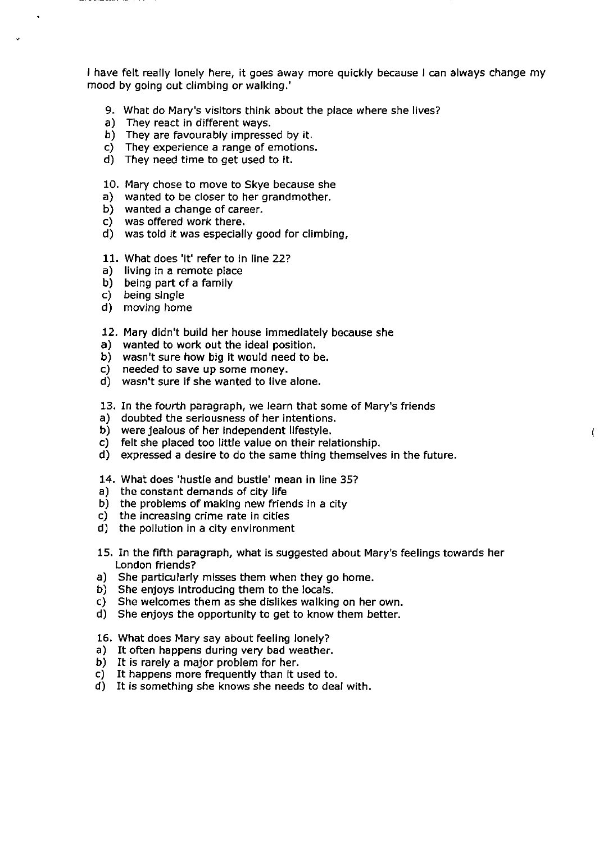1 have feit really loneiy here, it goes away more quickly because l can always change my mood by going out ciimbing or walking.'

- 9. What do Mary's visitors think about the place where she lives?
- a) They react in different ways.
- b) They are favourably impressed by it.
- c) They experience a range of emotions.
- d) They need time to get used to it.
- 10. Mary chose to move to Skye because she
- a) wanted to be cioser to her grandmother.
- b) wanted a change of career.
- c) was offered work there.
- d) was told it was especialiy good for climbing,
- 11. What does 'it' refer to in line 22?
- a) living in a remote place
- b) being part of a family
- c) being single
- d) moving home
- 12. Mary didn't build her house immediately because she
- a) wanted to work out the ideal position.
- b) wasn't sure how big it would need to be.
- c) needed to save up some money.
- d) wasn't sure if she wanted to live alone.
- 13. in the fourth paragraph, we learn that some of Mary's friends
- a) doubted the seriousness of her intentions.
- b) were jealous of her independent lifestyle.
- c) felt she placed too little value on their relationship.
- d) expressed a desire to do the same thing themselves in the future.
- 14. What does 'hustle and bustle' mean in line 35?
- a) the constant demands of city life
- b) the problems of making new friends in a city
- c) the increaslng crime rate in citles
- d) the pollution in a city environment
- 15. in the fifth paragraph, what is suggested about Mary's feelings towards her London friends?
- a) She particularly misses them when they go home.
- b) She enjoys introducing them to the locals.
- c) She welcomes them as she dislikes walking on her own.
- d) She enjoys the opportunity to get to know them better.
- 16. What does Mary say about feeling lonely?
- a) It often happens during very bad weather.
- b) It is rarely a major problem for her.
- c) It happens more frequently than it used to.
- d) İt is something she knows she needs to deal with.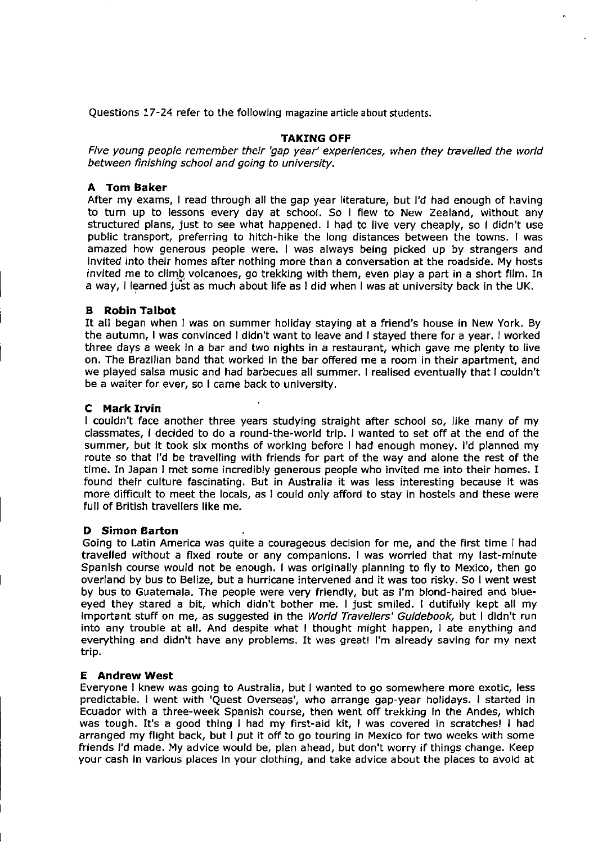Questions 17-24 refer to the foliowing magazine article about students.

#### TAKING 0FF

Five young people remember their 'gap year' experiences, when they travelled the world between finishing school and going to university.

#### A Tom Baker

After my exams, 1 read through alı the gap year literature, but l'd had enough of having to turn up to lessons every day at school. So 1 flew to New Zealand, without any structured plans, just to see what happened. 1 had to live very cheaply, so 1 didn't use public transport, preferring to hitch-hike the long distances between the towns. t was amazed how generous people were. I was always being picked up by strangers and invited into their homes after nothing more than a conversation at the roadside. My hosts invited me to climb volcanoes, go trekking with them, even play a part in a short film. In a way, I learned just as much about life as I did when I was at university back in the UK.

#### B Robin Talbot

<sup>İ</sup>t alI began when 1 was on summer holiday staying at a friend's house in New York. By the autumn, I was convinced I didn't want to leave and I stayed there for a year. I worked three days a week in a bar and two nights in a restaurant, which gave me plenty to live on. The Brazilian band that worked in the bar offered me a room in their apartment, and we played salsa music and had barbecues all summer. I realised eventually that I couldn't be a waiter for ever, so I came back to university.

#### **C Mark Irvin**

t couldn't face another three years studying straight after school sa, like rnany of my classmates, t decided to dc a round-the-world trip. 1 wanted to set off at the end of the summer, but it took six months of working before I had enough money. I'd planned my route so that I'd be traveiling with friends for part of the way and alone the rest of the time. İn Japan 1 met some incredibly generous people who invited me into their homes. 1 found their culture fascinating. But in Australia it was less interesting because it was more difficult to meet the locals, as I could only afford to stay in hostels and these were full of British travellers iike me.

#### **D** Simon Barton

Going to Latin America was quite a courageous decision for me, and the first time  $l$  had travelled without a fixed route or any companions. I was worried that my last-minute Spanish course would not be enough. 1 was originaliy planning to fiy to Mexico, then go overland by bus to Belize, but a hurricane intervened and it was too risky. So t went west by bus to Guatemala. The people were very friendly, but as I'm blond-haired and blueeyed they stared a bit, which didn't bother me. I just smiled. I dutifully kept all my important stuff on me, as suggested in the World Travellers' Guidebook, but I didn't run into any trouble at alI. And despite what 1 thought might happen, 1 ate anything and everything and didn't have any problems. It was great! I'm already saving for my next trip.

#### **E Andrew West**

Everyone I knew was going to Australia, but I wanted to go somewhere more exotic, less predictable. i went with 'Quest Overseas', who arrange gap-year holidays. 1 started in Ecuador with a three-week Spanish course, then went off trekking in the Andes, which was tough. It's a good thing I had my first-aid kit, I was covered in scratches! I had arranged my flight back, but 1 put it off to go touring in Mexico for two weeks with some friends I'd made. My advice would be, plan ahead, but don't worry if things change. Keep your cash in various places in your ciothing, and take advice about the places to avoid at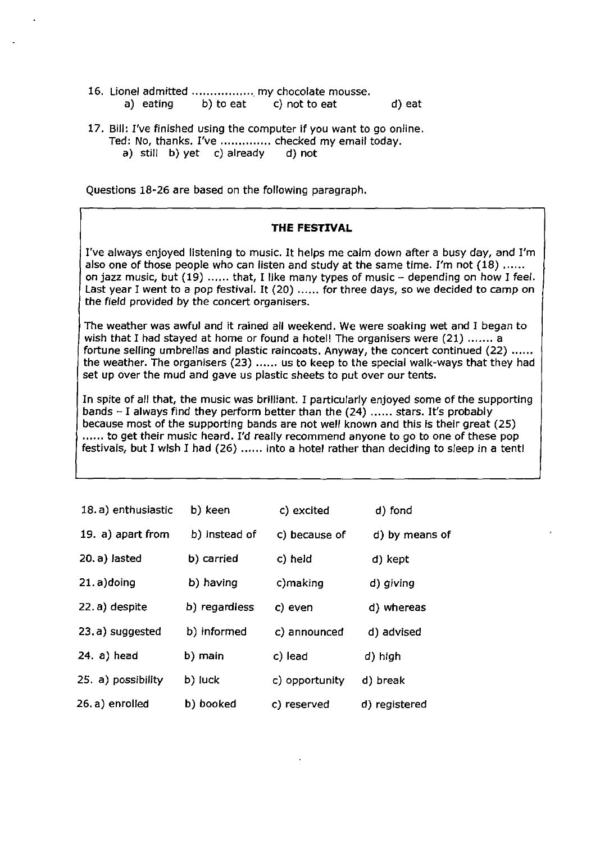- 16. Lionel admitted .................. my chocolate mousse.<br>
a) eating b) to eat c) not to eat b) to eat c) not to eat d) eat
- 17. Bill: I've finished using the computer if you want to go online. Ted: No, thanks. I've ............... checked my email today.<br>a) still b) yet c) already d) not a) still b) yet c) already

Questions 18-26 are based on the following paragraph.

#### **THE FEST**İ**VAL**

I've always enjoyed listening to music. İt helps me caim down after a busy day, and İ'm also one of those people who can listen and study at the same time. I'm not (18) ...... on jazz music, but  $(19)$  ...... that, I like many types of music - depending on how I feel. Last year I went to a pop festival. It  $(20)$  ...... for three days, so we decided to camp on the field provided by the concert organisers.

The weather was awful and it rained all weekend. We were soaking wet and I began to wish that I had stayed at home or found a hotel! The organisers were (21) ....... a fortune selling umbrellas and plastic raincoats. Anyway, the concert continued (22) the weather. The organisers  $(23)$  ...... us to keep to the special walk-ways that they had set up over the mud and gave us plastic sheets to put over our tents.

İn spite of ali that, the music was brilliant. İ particuiarly enjoyed some of the supporting bands  $-$  I always find they perform better than the (24) ...... stars. It's probably because most of the supporting bands are not weil known and this is their great (25) ...... to get their music heard. I'd really recommend anyone to go to one of these pop festivals, but I wish I had  $(26)$  ...... into a hotel rather than deciding to sleep in a tent!

| 18. a) enthusiastic | b) keen       | c) excited     | d) fond        |
|---------------------|---------------|----------------|----------------|
| 19. a) apart from   | b) instead of | c) because of  | d) by means of |
| 20. a) lasted       | b) carried    | c) held        | d) kept        |
| 21.a)doing          | b) having     | c)making       | d) giving      |
| 22.a) despite       | b) regardless | c) even        | d) whereas     |
| 23.a) suggested     | b) informed   | c) announced   | d) advised     |
| $24. a)$ head       | b) main       | c) lead        | d) high        |
| 25. a) possibility  | b) luck       | c) opportunity | d) break       |
| 26. a) enrolled     | b) booked     | c) reserved    | d) registered  |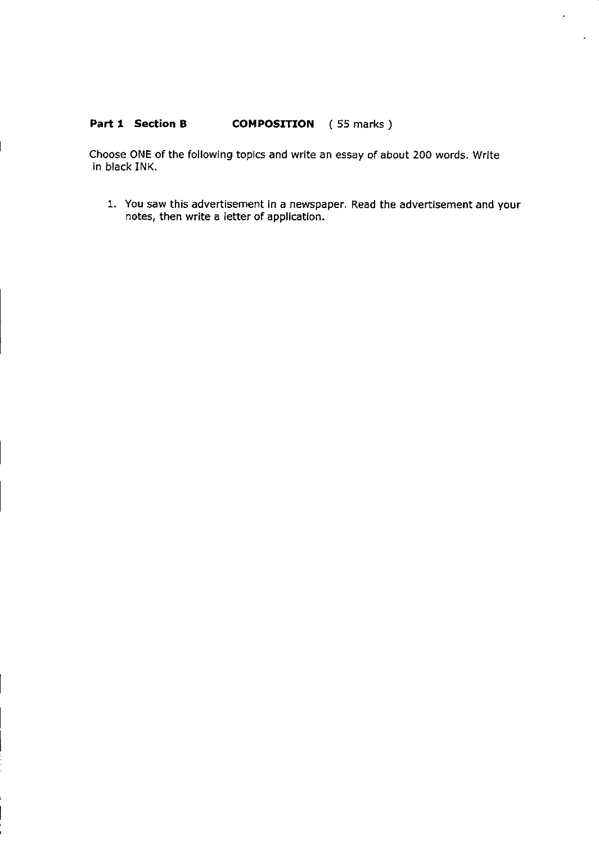# **Part 1. Section B. COMPOSITION (55 marks)**

Choose ONE of the foliowing topics and write an essay of about 200 words. Write in black INK.

1. You saw this advertisement in a newspaper. Read the advertisement and your notes, then write a letter of application.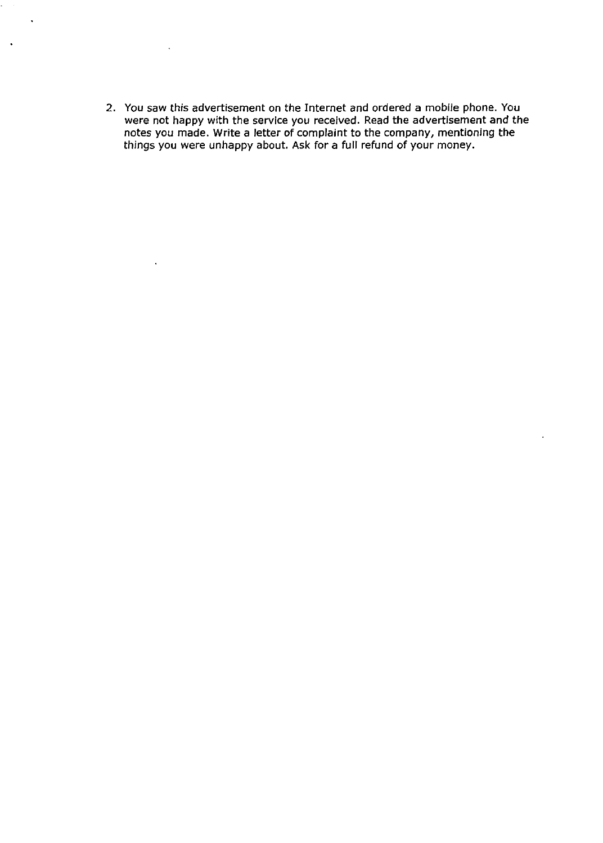2. You saw this advertisement on the Internet and ordered a mobile phone. You were not happy with the service you received. Read the advertisement and the notes you made. Write a letter of complaint to the company, mentioning the things you were unhappy about. Ask for a fiili refund of your money.

 $\ddot{\phantom{0}}$ 

 $\ddot{\phantom{a}}$ 

 $\ddot{\phantom{a}}$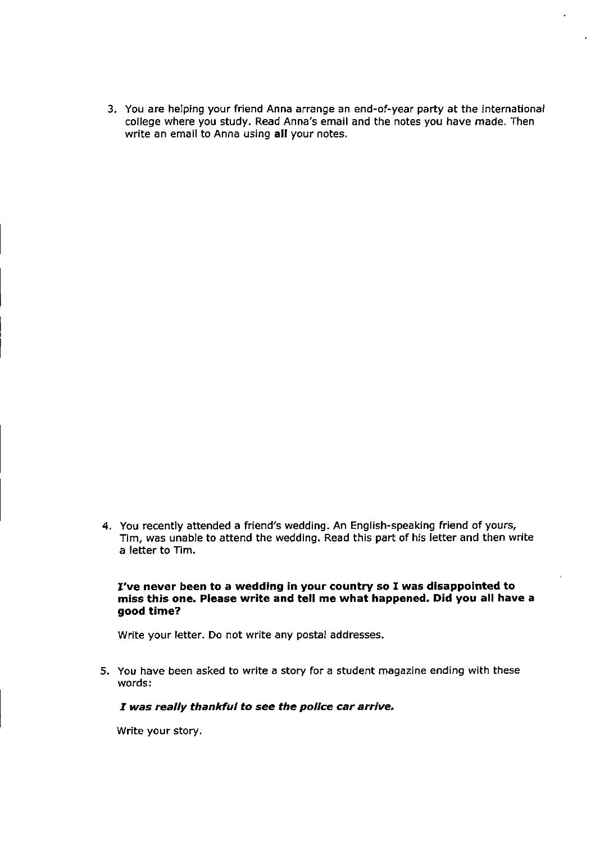3. You are heiping your friend Anna arrange an end-of-year party at the international college where you study. Read Anna's email and the notes you have made. Then write an email to Anna using all your notes.

4. You recently attended a friend's wedding. An English-speaking friend of yours, Tim, was unable to attend the wedding. Read this part of his letter and then write a letter to Tim.

### Z've **never been to a wedding in your country so 1 was disappointed to mlss this one. Please write and tell me what happened. Did you ali have a good time?**

Write your letter. Do not write any postal addresses.

5. You have been asked to write a story for a student magazine ending with these words:

### **1 was realiy thankful to see the police car arrive.**

Write your story.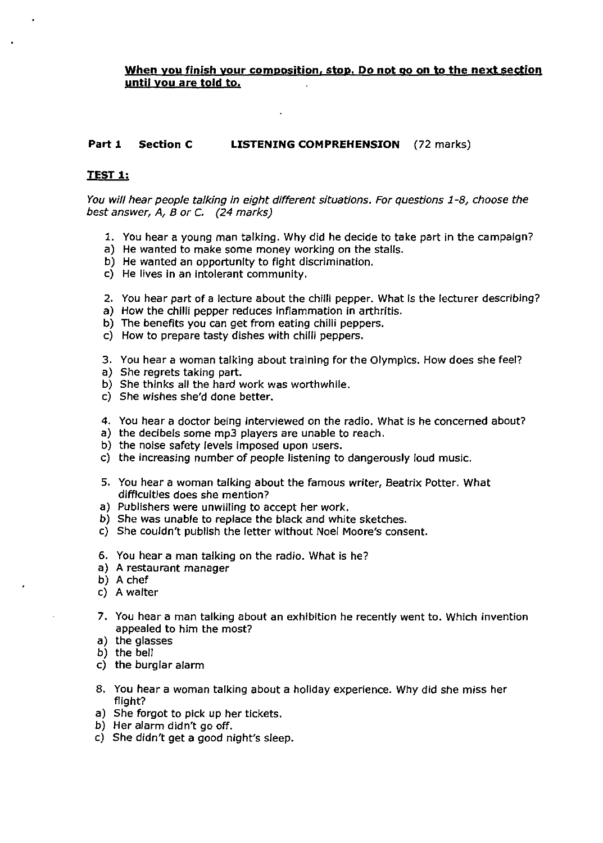# **When you finish your composition, stop. Do not go on to the next section** until you are told to.

# **Part 1 Section C LISTENING COMPREHENSION** (72 marks)

# **TEST 1:**

You wiil hear people ta/king in eight different situations. For questions 1-8, choose the best answer, A, 8 or C. (24 marks)

- 1. You hear a young man talking. Why did he decide ta take part in the campaign?
- a) He wanted to make some money working on the stalis.
- b) He wanted an opportunity to fight discrimination.
- c) He lives in an intolerant community.
- 2. You hear part of a lecture about the chilli pepper. What is the lecturer describing?
- a) How the chilli pepper reduces inflammation in arthritis.
- b) The benefits you can get from eating chilli peppers.
- c) How to prepare tasty dishes with chilli peppers.
- 3. You hear a woman talking about training for the Olympics. How does she feel?
- a) She regrets taking part.
- b) She thinks all the hard work was worthwhile.
- c) She wishes she'd done better.
- 4. You hear a doctor being interviewed on the radio. What is he concerned about?
- a) the decibels some mp3 players are unable to reach.
- b) the noise safety levels imposed upon users.
- c) the increasing number af people listening to dangerousiy loud music.
- 5. You hear e woman talking about the famous writer, beatrix Potter. What difficulties does she mention?
- a) Publishers were unwilling to accept her work.
- b) She was unable to replace the black and white sketches.
- c) She couldn't pubiish the letter without Noel Moore's consent.
- 6. You hear a man talking on the radio. What is he?
- a) A restaurant manager
- b) A chef
- c) A waiter
- 7. Yau hear e man talking about an exhibition he recentiy went ta. Which invention appealed to him the most?
- a) the giasses
- b) the beli
- c) the burgiar alarm
- 8. You hear a woman talking about a holiday experience. Why did she miss her flight?
- a) She forgot to pick up her tickets.
- b) Her alarm didn't go 0ff.
- c) She didn't get a good night's sleep.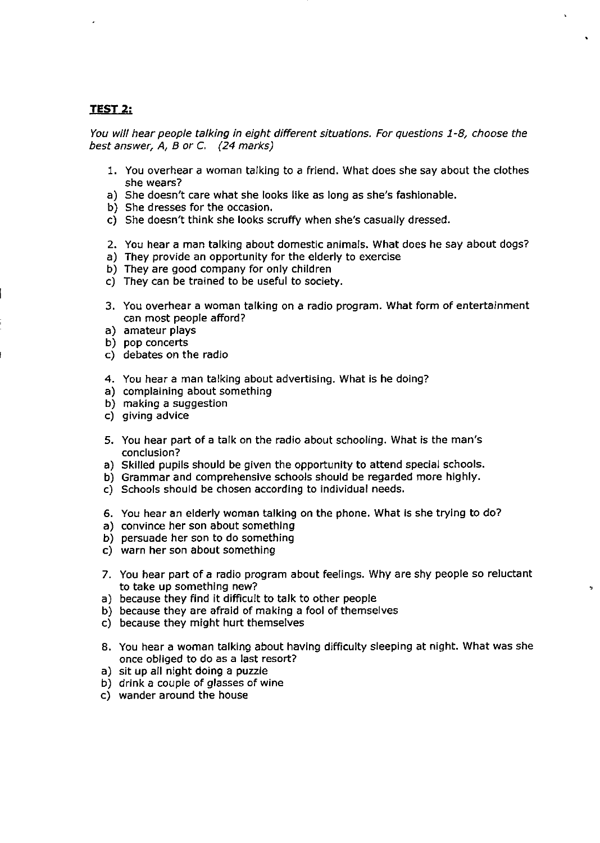# **TEST 2:**

You will hear people talking in eight different situations. For questions 1-8, choose the best answer, A, B or C. (24 marks)

- 1. You overhear a woman taiking to a friend. What does she say about the ciothes she wears?
- a) She doesn't care what she looks ilke as long as she's fashionable.
- b) She dresses for the occasion.
- c) She doesn't think she looks scruffy when she's casually dressed.
- 2. You hear a man talking about domestic animais. What does he say about dogs?
- a) They provide an opportunity for the elderly to exercise
- b) They are good company for oniy chiidren
- c) They can be trained to be useful to society.
- 3. You overhear a woman taiking on a radio program. What form of entertainment can most peopie afford?
- a) amateur pİays
- b) pop concerts
- c) debates on the radio
- 4. You hear a man talking about advertising. What is he doing?
- a) complaining about something
- b) making a suggestion
- c) giving advice
- 5. You hear part of a taik on the radio about schooling. What is the man's conclusion?
- a) Skiiled pupiis should be giyen the opportunity to attend special schoois.
- b) Grammar and comprehensive schools should be regarded more highly.
- c) Schools should be chosen according to individual needs.
- 6. You hear an elderiy woman taiking on the phone. What Is she trying to do?
- a) convince her son about something
- b) persuade her son to do something
- c) warn her son about something
- 7. You hear part of a radio program about feelings. Why are shy people so reluctant to take up something new?
- a) because they find it difficult to taik to other people
- b) because they are afraid of making a fool of themselves
- c) because they might hurt themselves
- 8. You hear a woman talking about having difficulty sleeping at night. What was she once obliged to do as a last resort?
- a) sit up all night doing a puzzle
- b) drink a couple of giasses of wine
- c) wander around the house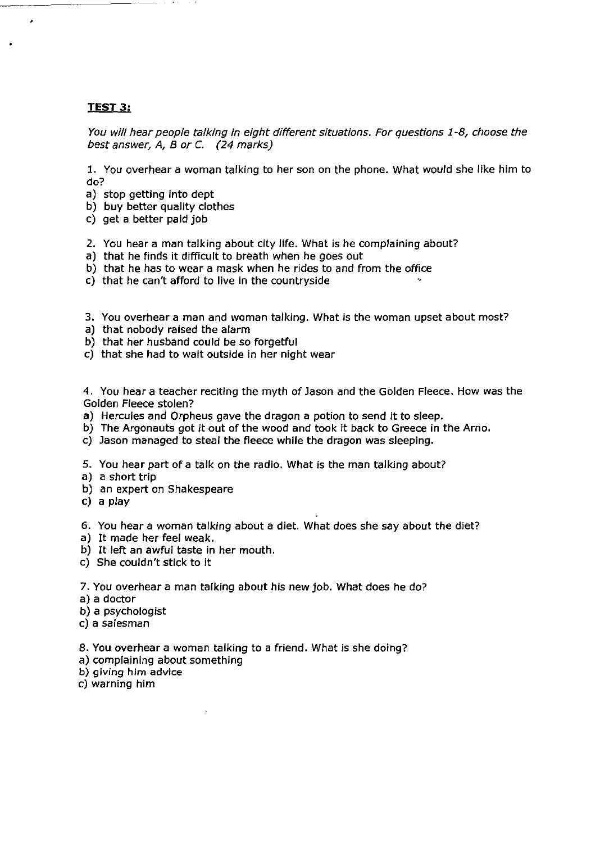# **TEST 3:**

,

You wili hear people ta/king in eight differerıt situations. For questions 1-8, choose the best answer, A, B or C. (24 marks)

1. You overhear a woman talking to her son on the phone. What would she like him to da?

- a) stop getting into dept
- b) buy better quality clothes
- c) get a better paid job
- 2. You hear a man talking about city life. What is he complaining about?
- a) that he finds it difficult to breath when he goes out
- b) that he has to wear a mask when he rides to and from the office
- c) that he can't afford to live in the countryside
- 3. You overhear a man and woman talking. What is the woman upset about most?
- a) that nobody raised the alarm
- b) that her husband could be so forgetful
- c) that she had to wait outside in her night wear

4. You hear a teacher reciting the myth of Jason and the Golden Fleece. How was the Golden Fleece stolen?

- a) Hercules and Orpheus gave the dragon a potion to send it to sleep.
- b) The Argonauts got it out of the wood and took it back to Greece in the Arno.
- c) Jason managed to steal the fieece while the dragan was sleeping.
- 5. You hear part of a taik on the radio. What is the man talking about?
- a) a short trip
- b) an expert on Shakespeare
- c) a play
- 6. You hear a waman talking about a diet. What does she say about the diet?
- a) İt made her feei weak.
- b) It left an awful taste in her mouth.
- c) She cauldn't stick to it
- 7. You overhear a man talking about his new job. What does he da?
- a) a doctor
- b) a psychologist
- c) a salesman
- 8. You overhear a woman talking to a friend. What is she doing?
- a) complaining about something
- b) giving him advice
- c) warning him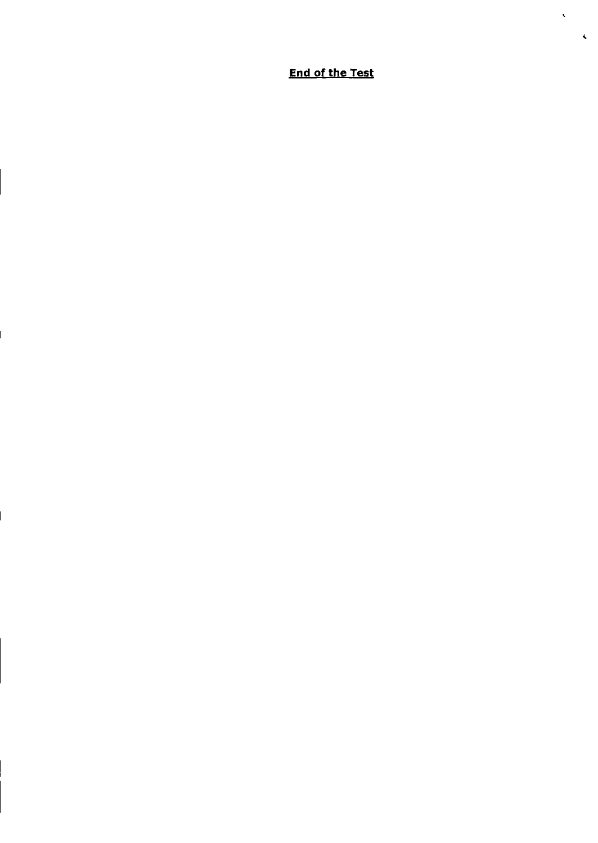**End** of the Test

 $\hat{\mathbf{v}}$ 

 $\hat{\mathbf{v}}$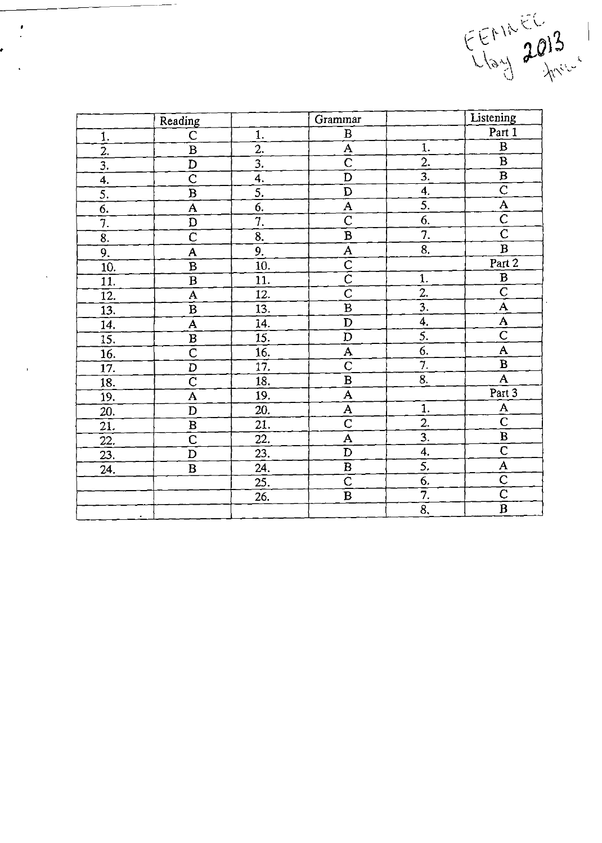|                   | Reading                 |                   | Grammar                   |                  | Listening                 |
|-------------------|-------------------------|-------------------|---------------------------|------------------|---------------------------|
| 1.                | $\mathsf C$             | 1.                | $\, {\bf B}$              |                  | Part 1                    |
| 2.                | $\overline{\mathbf{B}}$ | $\overline{2}$ .  | $\mathbf A$               | 1.               | $\overline{B}$            |
| $\overline{3}$ .  | D                       | $\overline{3}$ .  | $\overline{C}$            | $\overline{2}$ . | $\overline{B}$            |
| 4.                | $\overline{\text{c}}$   | 4.                | $\overline{D}$            | $\overline{3}$ . | $\overline{\mathbf{B}}$   |
| $\overline{5}$ .  | $\overline{\texttt{B}}$ | 5.                | $\mathbf D$               | 4.               | $\overline{C}$            |
| Z.                | $\overline{A}$          | 6.                | A                         | $\overline{5}$ . | $\mathbf{A}$              |
| $\overline{7}$ .  | $\overline{\texttt{D}}$ | $\overline{7}$ .  | $\overline{C}$            | 6.               | $\overline{\mathsf{C}}$   |
| $\overline{8}$ .  | $\overline{\mathsf{C}}$ | 8.                | $\, {\bf B}$              | 7.               | $\overline{\mathsf{C}}$   |
| 9.                | A                       | 9.                | A                         | 8.               | $\overline{\mathbf{B}}$   |
| 10.               | $\bar{\mathbf{B}}$      | 10.               | $\overline{\text{c}}$     |                  | Part 2                    |
| 11.               | $\overline{\mathbf{B}}$ | 11.               | $\overline{\mathsf{C}}$   | 1.               | $\, {\bf B}$              |
| $\overline{12}$ . | A                       | 12.               | $\overline{\mathbf{C}}$   | $\overline{2}$   | $\overline{c}$            |
| 13.               | $\bar{\mathbf{B}}$      | 13.               | $\overline{\mathbf{B}}$   | $\overline{3}$ . | A                         |
| 14.               | A                       | 14.               | $\mathbf D$               | 4.               | $\boldsymbol{\mathsf{A}}$ |
| 15.               | $\bf{B}$                | 15.               | $\bar{\mathbf{D}}$        | $\overline{5}$ . | $\overline{\mathbf{C}}$   |
| 16.               | $\bar{\text{C}}$        | 16.               | A                         | $\overline{6}$ . | A                         |
| $\overline{17}$ . | D                       | $\overline{17}$ . | $\mathsf C$               | 7.               | $\overline{B}$            |
| 18.               | $\bar{\mathbf{C}}$      | 18.               | $\overline{B}$            | $\overline{8}$ . | $\mathbf{A}$              |
| 19.               | A                       | 19.               | $\overline{\mathbf{A}}$   |                  | Part 3                    |
| 20.               | D                       | 20.               | $\boldsymbol{\mathsf{A}}$ | 1.               | $\mathbf A$               |
| $2\overline{1}$ . | $\overline{\mathbf{B}}$ | 21.               | $\overline{\mathsf{C}}$   | $\overline{2}$ . | $\overline{\mathsf{C}}$   |
| $\overline{22.}$  | $\overline{\text{c}}$   | 22.               | A                         | $\overline{3}$ . | $\overline{B}$            |
| 23.               | D                       | 23.               | $\overline{\mathbf{D}}$   | 4.               | $\overline{\text{c}}$     |
| 24.               | $\overline{B}$          | 24.               | $\, {\bf B}$              | 5.               | A                         |
|                   |                         | 25.               | $\overline{C}$            | 6.               | $\overline{\text{c}}$     |
|                   |                         | 26.               | $\overline{B}$            | $\overline{7}$ . | $\overline{\text{C}}$     |
|                   |                         |                   |                           | 8.               | $\overline{B}$            |

EEMAEL 18